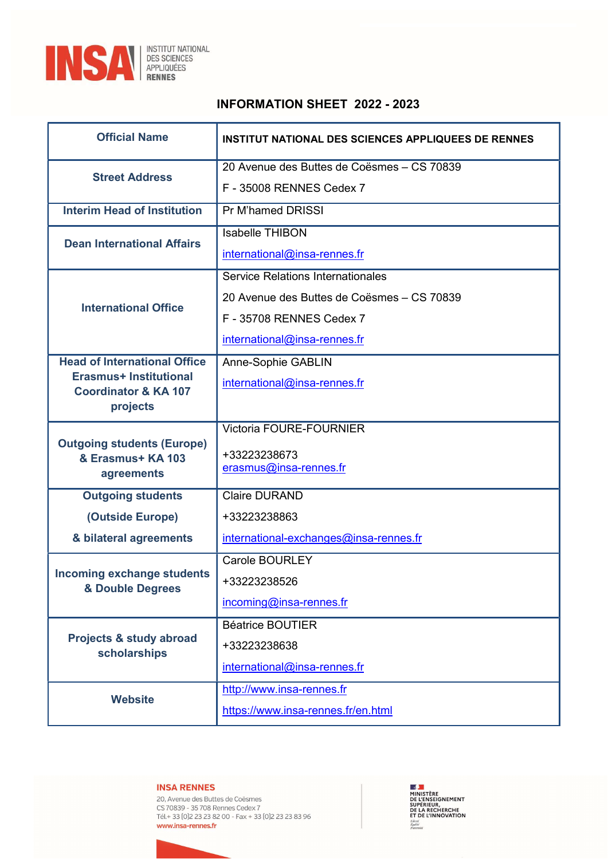

# INFORMATION SHEET 2022 - 2023

| <b>Official Name</b>                                             | <b>INSTITUT NATIONAL DES SCIENCES APPLIQUEES DE RENNES</b> |
|------------------------------------------------------------------|------------------------------------------------------------|
| <b>Street Address</b>                                            | 20 Avenue des Buttes de Coësmes - CS 70839                 |
|                                                                  | F - 35008 RENNES Cedex 7                                   |
| <b>Interim Head of Institution</b>                               | Pr M'hamed DRISSI                                          |
| <b>Dean International Affairs</b>                                | <b>Isabelle THIBON</b>                                     |
|                                                                  | international@insa-rennes.fr                               |
| <b>International Office</b>                                      | Service Relations Internationales                          |
|                                                                  | 20 Avenue des Buttes de Coësmes - CS 70839                 |
|                                                                  | F - 35708 RENNES Cedex 7                                   |
|                                                                  | international@insa-rennes.fr                               |
| <b>Head of International Office</b>                              | Anne-Sophie GABLIN                                         |
| <b>Erasmus+ Institutional</b><br><b>Coordinator &amp; KA 107</b> | international@insa-rennes.fr                               |
| projects                                                         |                                                            |
|                                                                  | <b>Victoria FOURE-FOURNIER</b>                             |
| <b>Outgoing students (Europe)</b><br>& Erasmus+ KA 103           | +33223238673                                               |
| agreements                                                       | erasmus@insa-rennes.fr                                     |
| <b>Outgoing students</b>                                         | <b>Claire DURAND</b>                                       |
| (Outside Europe)                                                 | +33223238863                                               |
| & bilateral agreements                                           | international-exchanges@insa-rennes.fr                     |
| <b>Incoming exchange students</b><br>& Double Degrees            | <b>Carole BOURLEY</b>                                      |
|                                                                  | +33223238526                                               |
|                                                                  | incoming@insa-rennes.fr                                    |
| Projects & study abroad<br>scholarships                          | <b>Béatrice BOUTIER</b>                                    |
|                                                                  | +33223238638                                               |
|                                                                  | international@insa-rennes.fr                               |
| <b>Website</b>                                                   | http://www.insa-rennes.fr                                  |
|                                                                  | https://www.insa-rennes.fr/en.html                         |
|                                                                  |                                                            |

# **INSA RENNES**

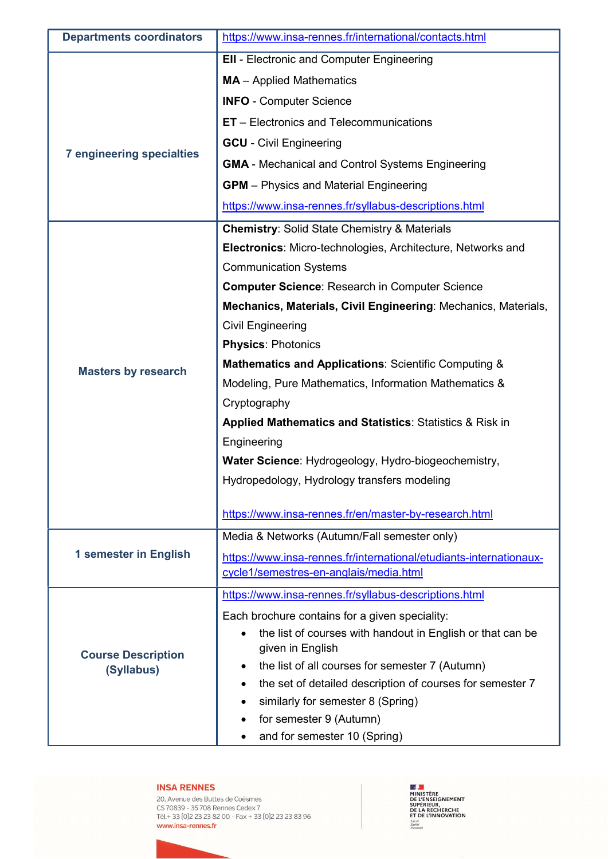| <b>Departments coordinators</b>         | https://www.insa-rennes.fr/international/contacts.html                  |
|-----------------------------------------|-------------------------------------------------------------------------|
| <b>7 engineering specialties</b>        | <b>EII</b> - Electronic and Computer Engineering                        |
|                                         | <b>MA</b> - Applied Mathematics                                         |
|                                         | <b>INFO - Computer Science</b>                                          |
|                                         | <b>ET</b> – Electronics and Telecommunications                          |
|                                         | <b>GCU</b> - Civil Engineering                                          |
|                                         | <b>GMA</b> - Mechanical and Control Systems Engineering                 |
|                                         | <b>GPM</b> – Physics and Material Engineering                           |
|                                         | https://www.insa-rennes.fr/syllabus-descriptions.html                   |
|                                         | <b>Chemistry: Solid State Chemistry &amp; Materials</b>                 |
|                                         | Electronics: Micro-technologies, Architecture, Networks and             |
|                                         | <b>Communication Systems</b>                                            |
|                                         | <b>Computer Science: Research in Computer Science</b>                   |
|                                         | Mechanics, Materials, Civil Engineering: Mechanics, Materials,          |
|                                         | <b>Civil Engineering</b>                                                |
|                                         | <b>Physics: Photonics</b>                                               |
| <b>Masters by research</b>              | <b>Mathematics and Applications: Scientific Computing &amp;</b>         |
|                                         | Modeling, Pure Mathematics, Information Mathematics &                   |
|                                         | Cryptography                                                            |
|                                         | Applied Mathematics and Statistics: Statistics & Risk in                |
|                                         | Engineering                                                             |
|                                         | Water Science: Hydrogeology, Hydro-biogeochemistry,                     |
|                                         | Hydropedology, Hydrology transfers modeling                             |
|                                         | https://www.insa-rennes.fr/en/master-by-research.html                   |
|                                         | Media & Networks (Autumn/Fall semester only)                            |
| 1 semester in English                   | https://www.insa-rennes.fr/international/etudiants-internationaux-      |
|                                         | cycle1/semestres-en-anglais/media.html                                  |
|                                         | https://www.insa-rennes.fr/syllabus-descriptions.html                   |
|                                         | Each brochure contains for a given speciality:                          |
| <b>Course Description</b><br>(Syllabus) | the list of courses with handout in English or that can be<br>$\bullet$ |
|                                         | given in English                                                        |
|                                         | the list of all courses for semester 7 (Autumn)                         |
|                                         | the set of detailed description of courses for semester 7<br>٠          |
|                                         | similarly for semester 8 (Spring)                                       |
|                                         | for semester 9 (Autumn)                                                 |
|                                         | and for semester 10 (Spring)                                            |

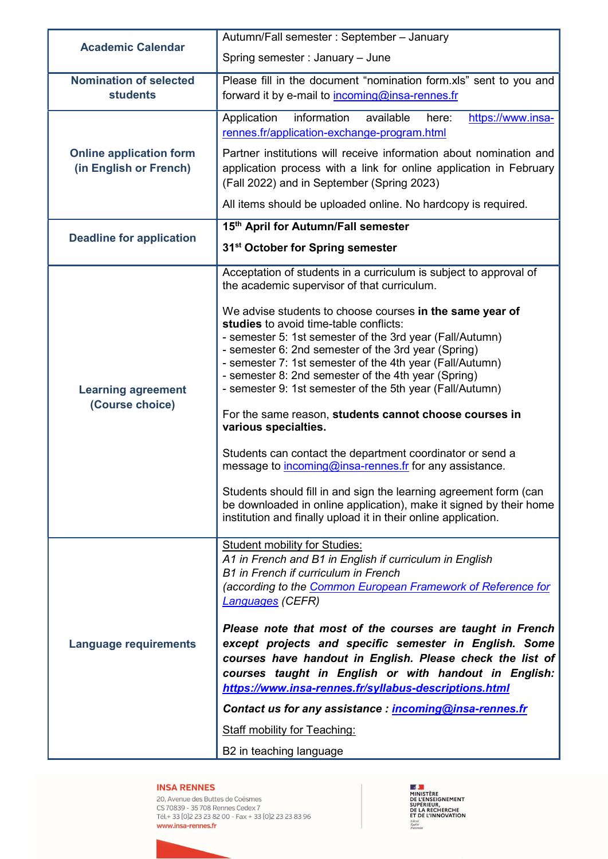| <b>Academic Calendar</b>                                 | Autumn/Fall semester: September - January                                                                                                                                                                                                                                                                                                                                                            |
|----------------------------------------------------------|------------------------------------------------------------------------------------------------------------------------------------------------------------------------------------------------------------------------------------------------------------------------------------------------------------------------------------------------------------------------------------------------------|
|                                                          | Spring semester: January - June                                                                                                                                                                                                                                                                                                                                                                      |
| <b>Nomination of selected</b><br><b>students</b>         | Please fill in the document "nomination form.xls" sent to you and<br>forward it by e-mail to incoming@insa-rennes.fr                                                                                                                                                                                                                                                                                 |
|                                                          |                                                                                                                                                                                                                                                                                                                                                                                                      |
| <b>Online application form</b><br>(in English or French) | information<br>available<br>https://www.insa-<br>Application<br>here:<br>rennes.fr/application-exchange-program.html                                                                                                                                                                                                                                                                                 |
|                                                          | Partner institutions will receive information about nomination and<br>application process with a link for online application in February<br>(Fall 2022) and in September (Spring 2023)                                                                                                                                                                                                               |
|                                                          | All items should be uploaded online. No hardcopy is required.                                                                                                                                                                                                                                                                                                                                        |
|                                                          | 15th April for Autumn/Fall semester                                                                                                                                                                                                                                                                                                                                                                  |
| <b>Deadline for application</b>                          | 31 <sup>st</sup> October for Spring semester                                                                                                                                                                                                                                                                                                                                                         |
| <b>Learning agreement</b><br>(Course choice)             | Acceptation of students in a curriculum is subject to approval of<br>the academic supervisor of that curriculum.                                                                                                                                                                                                                                                                                     |
|                                                          | We advise students to choose courses in the same year of<br>studies to avoid time-table conflicts:<br>- semester 5: 1st semester of the 3rd year (Fall/Autumn)<br>- semester 6: 2nd semester of the 3rd year (Spring)<br>- semester 7: 1st semester of the 4th year (Fall/Autumn)<br>- semester 8: 2nd semester of the 4th year (Spring)<br>- semester 9: 1st semester of the 5th year (Fall/Autumn) |
|                                                          | For the same reason, students cannot choose courses in<br>various specialties.                                                                                                                                                                                                                                                                                                                       |
|                                                          | Students can contact the department coordinator or send a<br>message to incoming@insa-rennes.fr for any assistance.                                                                                                                                                                                                                                                                                  |
|                                                          | Students should fill in and sign the learning agreement form (can<br>be downloaded in online application), make it signed by their home<br>institution and finally upload it in their online application.                                                                                                                                                                                            |
| <b>Language requirements</b>                             | <b>Student mobility for Studies:</b><br>A1 in French and B1 in English if curriculum in English<br>B1 in French if curriculum in French<br>(according to the Common European Framework of Reference for<br>Languages (CEFR)                                                                                                                                                                          |
|                                                          | Please note that most of the courses are taught in French<br>except projects and specific semester in English. Some<br>courses have handout in English. Please check the list of<br>courses taught in English or with handout in English:<br>https://www.insa-rennes.fr/syllabus-descriptions.html                                                                                                   |
|                                                          | Contact us for any assistance : incoming@insa-rennes.fr                                                                                                                                                                                                                                                                                                                                              |
|                                                          | <b>Staff mobility for Teaching:</b>                                                                                                                                                                                                                                                                                                                                                                  |
|                                                          | B2 in teaching language                                                                                                                                                                                                                                                                                                                                                                              |

20, Avenue des Buttes de Coësmes Co, Avenue des Battes de Coesines<br>CS 70839 - 35 708 Rennes Cedex 7<br>Tél.+ 33 [0]2 23 23 82 00 - Fax + 33 [0]2 23 23 83 96 www.insa-rennes.fr

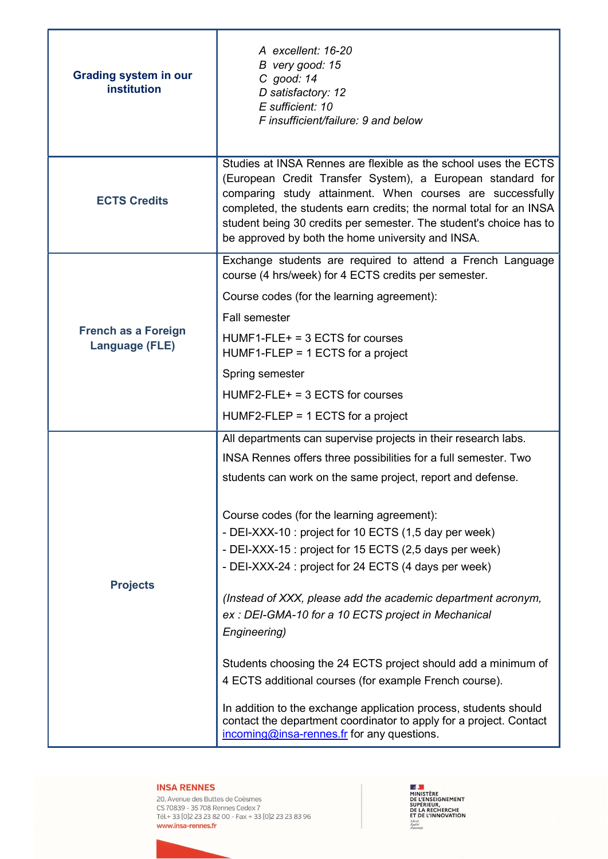| <b>Grading system in our</b><br>institution         | A excellent: 16-20<br>B very good: 15<br>C good: 14<br>D satisfactory: 12<br>E sufficient: 10<br>F insufficient/failure: 9 and below                                                                                                                                                                                                                                                        |
|-----------------------------------------------------|---------------------------------------------------------------------------------------------------------------------------------------------------------------------------------------------------------------------------------------------------------------------------------------------------------------------------------------------------------------------------------------------|
| <b>ECTS Credits</b>                                 | Studies at INSA Rennes are flexible as the school uses the ECTS<br>(European Credit Transfer System), a European standard for<br>comparing study attainment. When courses are successfully<br>completed, the students earn credits; the normal total for an INSA<br>student being 30 credits per semester. The student's choice has to<br>be approved by both the home university and INSA. |
| <b>French as a Foreign</b><br><b>Language (FLE)</b> | Exchange students are required to attend a French Language<br>course (4 hrs/week) for 4 ECTS credits per semester.                                                                                                                                                                                                                                                                          |
|                                                     | Course codes (for the learning agreement):                                                                                                                                                                                                                                                                                                                                                  |
|                                                     | <b>Fall semester</b>                                                                                                                                                                                                                                                                                                                                                                        |
|                                                     | $HUMF1- FLE+ = 3 ECTS$ for courses<br>$HUMF1-FLEP = 1 ECTS$ for a project                                                                                                                                                                                                                                                                                                                   |
|                                                     | Spring semester                                                                                                                                                                                                                                                                                                                                                                             |
|                                                     | $HUMF2-FLE+ = 3 ECTS$ for courses                                                                                                                                                                                                                                                                                                                                                           |
|                                                     | $HUMF2-FLEP = 1 ECTS$ for a project                                                                                                                                                                                                                                                                                                                                                         |
|                                                     | All departments can supervise projects in their research labs.                                                                                                                                                                                                                                                                                                                              |
|                                                     | INSA Rennes offers three possibilities for a full semester. Two                                                                                                                                                                                                                                                                                                                             |
|                                                     | students can work on the same project, report and defense.                                                                                                                                                                                                                                                                                                                                  |
| <b>Projects</b>                                     | Course codes (for the learning agreement):<br>- DEI-XXX-10 : project for 10 ECTS (1,5 day per week)<br>- DEI-XXX-15 : project for 15 ECTS (2,5 days per week)<br>- DEI-XXX-24 : project for 24 ECTS (4 days per week)                                                                                                                                                                       |
|                                                     | (Instead of XXX, please add the academic department acronym,<br>ex: DEI-GMA-10 for a 10 ECTS project in Mechanical<br>Engineering)                                                                                                                                                                                                                                                          |
|                                                     | Students choosing the 24 ECTS project should add a minimum of<br>4 ECTS additional courses (for example French course).                                                                                                                                                                                                                                                                     |
|                                                     | In addition to the exchange application process, students should<br>contact the department coordinator to apply for a project. Contact<br>incoming@insa-rennes.fr for any questions.                                                                                                                                                                                                        |

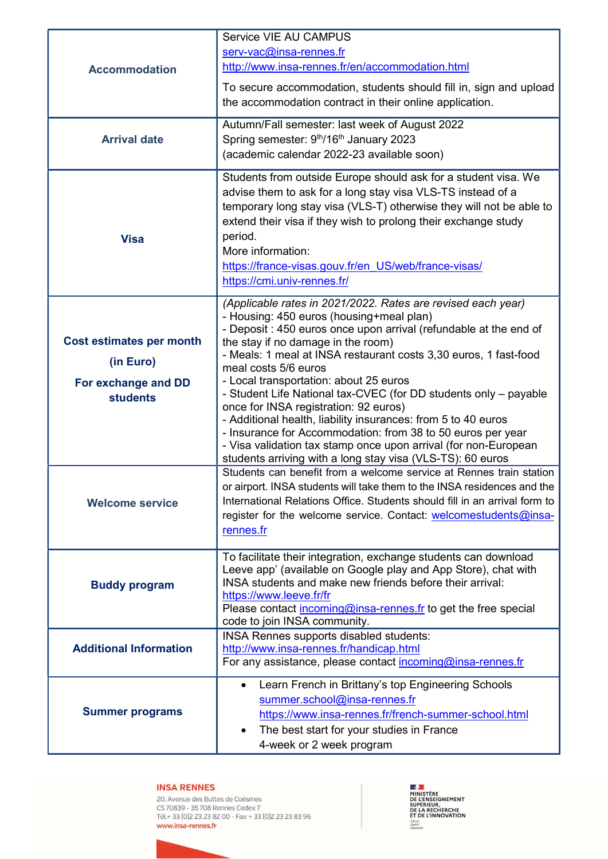| <b>Accommodation</b><br><b>Arrival date</b>                                            | Service VIE AU CAMPUS<br>serv-vac@insa-rennes.fr<br>http://www.insa-rennes.fr/en/accommodation.html<br>To secure accommodation, students should fill in, sign and upload<br>the accommodation contract in their online application.<br>Autumn/Fall semester: last week of August 2022<br>Spring semester: 9th/16th January 2023                                                                                                                                                                                                                                                                                                                                                                                                         |
|----------------------------------------------------------------------------------------|-----------------------------------------------------------------------------------------------------------------------------------------------------------------------------------------------------------------------------------------------------------------------------------------------------------------------------------------------------------------------------------------------------------------------------------------------------------------------------------------------------------------------------------------------------------------------------------------------------------------------------------------------------------------------------------------------------------------------------------------|
|                                                                                        | (academic calendar 2022-23 available soon)<br>Students from outside Europe should ask for a student visa. We                                                                                                                                                                                                                                                                                                                                                                                                                                                                                                                                                                                                                            |
| <b>Visa</b>                                                                            | advise them to ask for a long stay visa VLS-TS instead of a<br>temporary long stay visa (VLS-T) otherwise they will not be able to<br>extend their visa if they wish to prolong their exchange study<br>period.<br>More information:<br>https://france-visas.gouv.fr/en US/web/france-visas/<br>https://cmi.univ-rennes.fr/                                                                                                                                                                                                                                                                                                                                                                                                             |
| <b>Cost estimates per month</b><br>(in Euro)<br>For exchange and DD<br><b>students</b> | (Applicable rates in 2021/2022. Rates are revised each year)<br>- Housing: 450 euros (housing+meal plan)<br>- Deposit : 450 euros once upon arrival (refundable at the end of<br>the stay if no damage in the room)<br>- Meals: 1 meal at INSA restaurant costs 3,30 euros, 1 fast-food<br>meal costs 5/6 euros<br>- Local transportation: about 25 euros<br>- Student Life National tax-CVEC (for DD students only - payable<br>once for INSA registration: 92 euros)<br>- Additional health, liability insurances: from 5 to 40 euros<br>- Insurance for Accommodation: from 38 to 50 euros per year<br>- Visa validation tax stamp once upon arrival (for non-European<br>students arriving with a long stay visa (VLS-TS): 60 euros |
| <b>Welcome service</b>                                                                 | Students can benefit from a welcome service at Rennes train station<br>or airport. INSA students will take them to the INSA residences and the<br>International Relations Office. Students should fill in an arrival form to<br>register for the welcome service. Contact: welcomestudents@insa-<br>rennes.fr                                                                                                                                                                                                                                                                                                                                                                                                                           |
| <b>Buddy program</b>                                                                   | To facilitate their integration, exchange students can download<br>Leeve app' (available on Google play and App Store), chat with<br>INSA students and make new friends before their arrival:<br>https://www.leeve.fr/fr<br>Please contact incoming@insa-rennes.fr to get the free special<br>code to join INSA community.                                                                                                                                                                                                                                                                                                                                                                                                              |
| <b>Additional Information</b>                                                          | INSA Rennes supports disabled students:<br>http://www.insa-rennes.fr/handicap.html<br>For any assistance, please contact incoming@insa-rennes.fr                                                                                                                                                                                                                                                                                                                                                                                                                                                                                                                                                                                        |
| <b>Summer programs</b>                                                                 | Learn French in Brittany's top Engineering Schools<br>$\bullet$<br>summer.school@insa-rennes.fr<br>https://www.insa-rennes.fr/french-summer-school.html<br>The best start for your studies in France<br>$\bullet$<br>4-week or 2 week program                                                                                                                                                                                                                                                                                                                                                                                                                                                                                           |